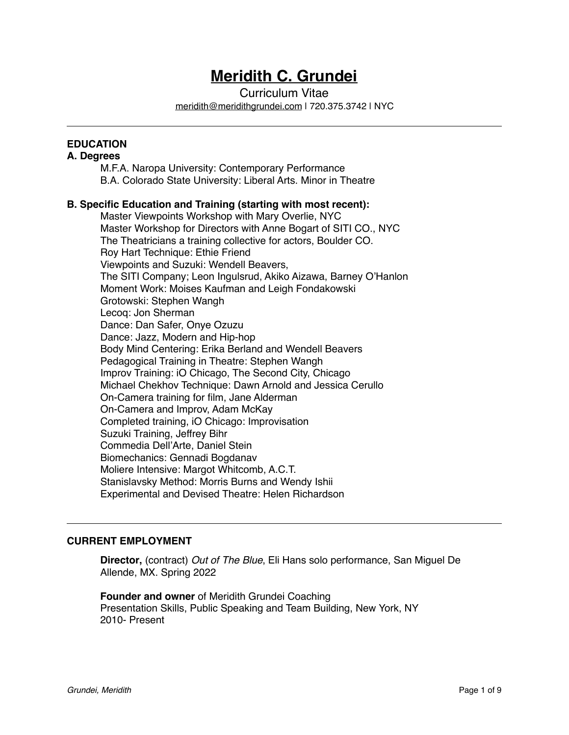## **Meridith C. Grundei**

Curriculum Vitae

[meridith@meridithgrundei.com](mailto:meridith@meridithgrundei.com) | 720.375.3742 | NYC

## **EDUCATION**

## **A. Degrees**

M.F.A. Naropa University: Contemporary Performance B.A. Colorado State University: Liberal Arts. Minor in Theatre

## **B. Specific Education and Training (starting with most recent):**

Master Viewpoints Workshop with Mary Overlie, NYC Master Workshop for Directors with Anne Bogart of SITI CO., NYC The Theatricians a training collective for actors, Boulder CO. Roy Hart Technique: Ethie Friend Viewpoints and Suzuki: Wendell Beavers, The SITI Company; Leon Ingulsrud, Akiko Aizawa, Barney O'Hanlon Moment Work: Moises Kaufman and Leigh Fondakowski Grotowski: Stephen Wangh Lecoq: Jon Sherman Dance: Dan Safer, Onye Ozuzu Dance: Jazz, Modern and Hip-hop Body Mind Centering: Erika Berland and Wendell Beavers Pedagogical Training in Theatre: Stephen Wangh Improv Training: iO Chicago, The Second City, Chicago Michael Chekhov Technique: Dawn Arnold and Jessica Cerullo On-Camera training for film, Jane Alderman On-Camera and Improv, Adam McKay Completed training, iO Chicago: Improvisation Suzuki Training, Jeffrey Bihr Commedia Dell'Arte, Daniel Stein Biomechanics: Gennadi Bogdanav Moliere Intensive: Margot Whitcomb, A.C.T. Stanislavsky Method: Morris Burns and Wendy Ishii Experimental and Devised Theatre: Helen Richardson

## **CURRENT EMPLOYMENT**

**Director,** (contract) Out of The Blue, Eli Hans solo performance, San Miguel De Allende, MX. Spring 2022

**Founder and owner** of Meridith Grundei Coaching Presentation Skills, Public Speaking and Team Building, New York, NY 2010- Present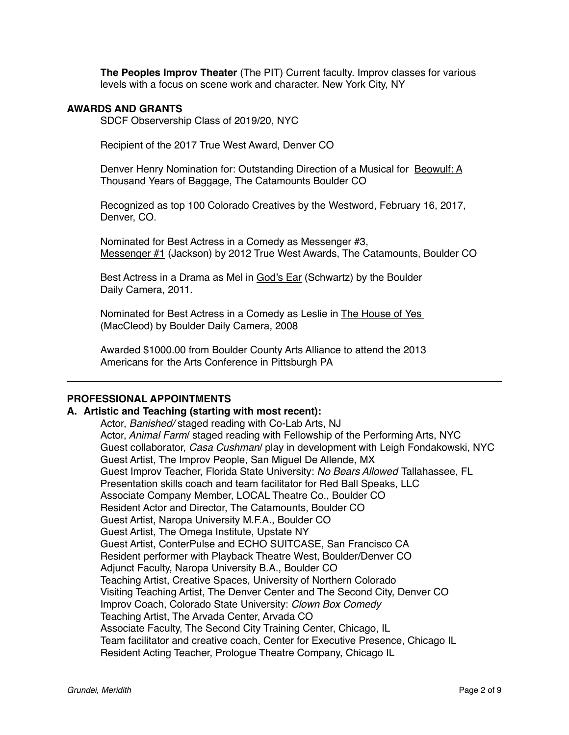**The Peoples Improv Theater** (The PIT) Current faculty. Improv classes for various levels with a focus on scene work and character. New York City, NY

#### **AWARDS AND GRANTS**

SDCF Observership Class of 2019/20, NYC

Recipient of the 2017 True West Award, Denver CO

Denver Henry Nomination for: Outstanding Direction of a Musical for Beowulf: A Thousand Years of Baggage, The Catamounts Boulder CO

Recognized as top 100 Colorado Creatives by the Westword, February 16, 2017, Denver, CO.

Nominated for Best Actress in a Comedy as Messenger #3, Messenger #1 (Jackson) by 2012 True West Awards, The Catamounts, Boulder CO

Best Actress in a Drama as Mel in God's Ear (Schwartz) by the Boulder Daily Camera, 2011.

Nominated for Best Actress in a Comedy as Leslie in The House of Yes (MacCleod) by Boulder Daily Camera, 2008

Awarded \$1000.00 from Boulder County Arts Alliance to attend the 2013 Americans for the Arts Conference in Pittsburgh PA

## **PROFESSIONAL APPOINTMENTS**

#### **A. Artistic and Teaching (starting with most recent):**

Actor, *Banished/* staged reading with Co-Lab Arts, NJ Actor, *Animal Farm*/ staged reading with Fellowship of the Performing Arts, NYC Guest collaborator, *Casa Cushman*/ play in development with Leigh Fondakowski, NYC Guest Artist, The Improv People, San Miguel De Allende, MX Guest Improv Teacher, Florida State University: *No Bears Allowed* Tallahassee, FL Presentation skills coach and team facilitator for Red Ball Speaks, LLC Associate Company Member, LOCAL Theatre Co., Boulder CO Resident Actor and Director, The Catamounts, Boulder CO Guest Artist, Naropa University M.F.A., Boulder CO Guest Artist, The Omega Institute, Upstate NY Guest Artist, ConterPulse and ECHO SUITCASE, San Francisco CA Resident performer with Playback Theatre West, Boulder/Denver CO Adjunct Faculty, Naropa University B.A., Boulder CO Teaching Artist, Creative Spaces, University of Northern Colorado Visiting Teaching Artist, The Denver Center and The Second City, Denver CO Improv Coach, Colorado State University: *Clown Box Comedy* Teaching Artist, The Arvada Center, Arvada CO Associate Faculty, The Second City Training Center, Chicago, IL Team facilitator and creative coach, Center for Executive Presence, Chicago IL Resident Acting Teacher, Prologue Theatre Company, Chicago IL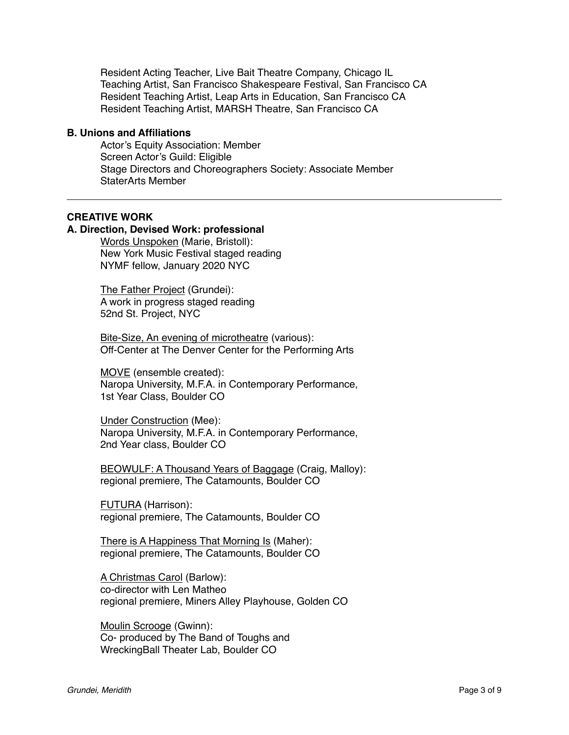Resident Acting Teacher, Live Bait Theatre Company, Chicago IL Teaching Artist, San Francisco Shakespeare Festival, San Francisco CA Resident Teaching Artist, Leap Arts in Education, San Francisco CA Resident Teaching Artist, MARSH Theatre, San Francisco CA

#### **B. Unions and Affiliations**

Actor's Equity Association: Member Screen Actor's Guild: Eligible Stage Directors and Choreographers Society: Associate Member StaterArts Member

#### **CREATIVE WORK**

## **A. Direction, Devised Work: professional**

Words Unspoken (Marie, Bristoll): New York Music Festival staged reading NYMF fellow, January 2020 NYC

The Father Project (Grundei): A work in progress staged reading 52nd St. Project, NYC

Bite-Size, An evening of microtheatre (various): Off-Center at The Denver Center for the Performing Arts

MOVE (ensemble created): Naropa University, M.F.A. in Contemporary Performance, 1st Year Class, Boulder CO

Under Construction (Mee): Naropa University, M.F.A. in Contemporary Performance, 2nd Year class, Boulder CO

BEOWULF: A Thousand Years of Baggage (Craig, Malloy): regional premiere, The Catamounts, Boulder CO

FUTURA (Harrison): regional premiere, The Catamounts, Boulder CO

There is A Happiness That Morning Is (Maher): regional premiere, The Catamounts, Boulder CO

A Christmas Carol (Barlow): co-director with Len Matheo regional premiere, Miners Alley Playhouse, Golden CO

Moulin Scrooge (Gwinn): Co- produced by The Band of Toughs and WreckingBall Theater Lab, Boulder CO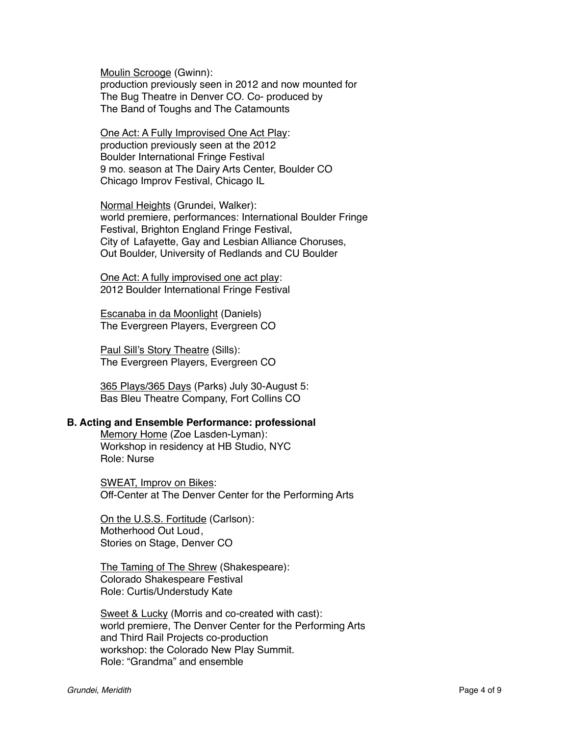Moulin Scrooge (Gwinn): production previously seen in 2012 and now mounted for The Bug Theatre in Denver CO. Co- produced by The Band of Toughs and The Catamounts

One Act: A Fully Improvised One Act Play: production previously seen at the 2012 Boulder International Fringe Festival 9 mo. season at The Dairy Arts Center, Boulder CO Chicago Improv Festival, Chicago IL

Normal Heights (Grundei, Walker): world premiere, performances: International Boulder Fringe Festival, Brighton England Fringe Festival, City of Lafayette, Gay and Lesbian Alliance Choruses, Out Boulder, University of Redlands and CU Boulder

One Act: A fully improvised one act play: 2012 Boulder International Fringe Festival

Escanaba in da Moonlight (Daniels) The Evergreen Players, Evergreen CO

Paul Sill's Story Theatre (Sills): The Evergreen Players, Evergreen CO

365 Plays/365 Days (Parks) July 30-August 5: Bas Bleu Theatre Company, Fort Collins CO

## **B. Acting and Ensemble Performance: professional**

Memory Home (Zoe Lasden-Lyman): Workshop in residency at HB Studio, NYC Role: Nurse

SWEAT, Improv on Bikes: Off-Center at The Denver Center for the Performing Arts

On the U.S.S. Fortitude (Carlson): Motherhood Out Loud, Stories on Stage, Denver CO

The Taming of The Shrew (Shakespeare): Colorado Shakespeare Festival Role: Curtis/Understudy Kate

Sweet & Lucky (Morris and co-created with cast): world premiere, The Denver Center for the Performing Arts and Third Rail Projects co-production workshop: the Colorado New Play Summit. Role: "Grandma" and ensemble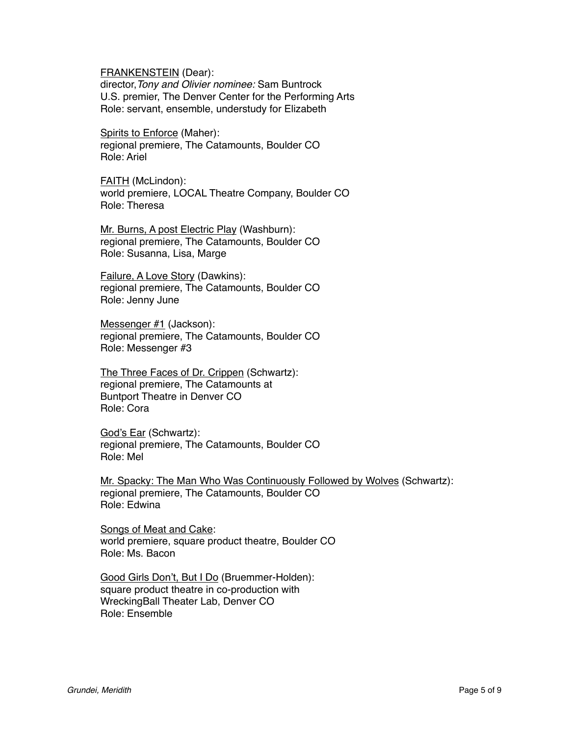FRANKENSTEIN (Dear):

director,*Tony and Olivier nominee:* Sam Buntrock U.S. premier, The Denver Center for the Performing Arts Role: servant, ensemble, understudy for Elizabeth

Spirits to Enforce (Maher): regional premiere, The Catamounts, Boulder CO Role: Ariel

FAITH (McLindon): world premiere, LOCAL Theatre Company, Boulder CO Role: Theresa

Mr. Burns, A post Electric Play (Washburn): regional premiere, The Catamounts, Boulder CO Role: Susanna, Lisa, Marge

Failure, A Love Story (Dawkins): regional premiere, The Catamounts, Boulder CO Role: Jenny June

Messenger #1 (Jackson): regional premiere, The Catamounts, Boulder CO Role: Messenger #3

The Three Faces of Dr. Crippen (Schwartz): regional premiere, The Catamounts at Buntport Theatre in Denver CO Role: Cora

God's Ear (Schwartz): regional premiere, The Catamounts, Boulder CO Role: Mel

Mr. Spacky: The Man Who Was Continuously Followed by Wolves (Schwartz): regional premiere, The Catamounts, Boulder CO Role: Edwina

Songs of Meat and Cake: world premiere, square product theatre, Boulder CO Role: Ms. Bacon

Good Girls Don't, But I Do (Bruemmer-Holden): square product theatre in co-production with WreckingBall Theater Lab, Denver CO Role: Ensemble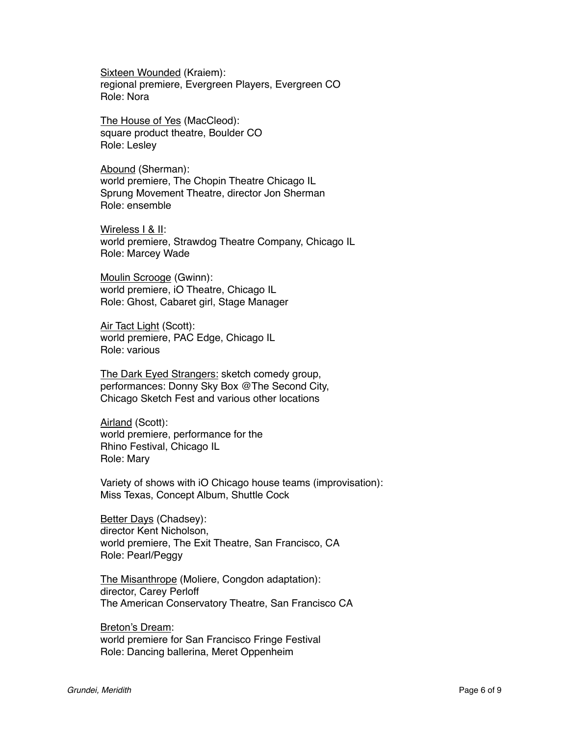Sixteen Wounded (Kraiem): regional premiere, Evergreen Players, Evergreen CO Role: Nora

The House of Yes (MacCleod): square product theatre, Boulder CO Role: Lesley

Abound (Sherman): world premiere, The Chopin Theatre Chicago IL Sprung Movement Theatre, director Jon Sherman Role: ensemble

Wireless I & II: world premiere, Strawdog Theatre Company, Chicago IL Role: Marcey Wade

Moulin Scrooge (Gwinn): world premiere, iO Theatre, Chicago IL Role: Ghost, Cabaret girl, Stage Manager

Air Tact Light (Scott): world premiere, PAC Edge, Chicago IL Role: various

The Dark Eyed Strangers: sketch comedy group, performances: Donny Sky Box @The Second City, Chicago Sketch Fest and various other locations

Airland (Scott): world premiere, performance for the Rhino Festival, Chicago IL Role: Mary

Variety of shows with iO Chicago house teams (improvisation): Miss Texas, Concept Album, Shuttle Cock

Better Days (Chadsey): director Kent Nicholson, world premiere, The Exit Theatre, San Francisco, CA Role: Pearl/Peggy

The Misanthrope (Moliere, Congdon adaptation): director, Carey Perloff The American Conservatory Theatre, San Francisco CA

Breton's Dream: world premiere for San Francisco Fringe Festival Role: Dancing ballerina, Meret Oppenheim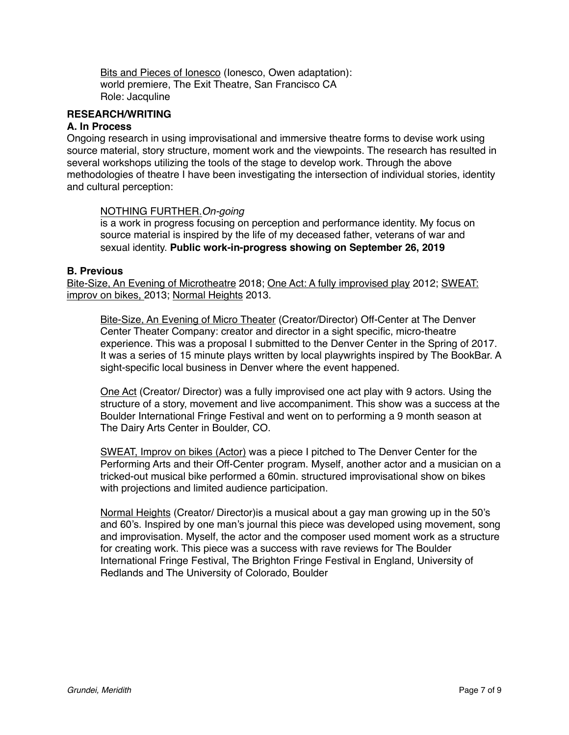Bits and Pieces of Ionesco (Ionesco, Owen adaptation): world premiere, The Exit Theatre, San Francisco CA Role: Jacquline

## **RESEARCH/WRITING**

## **A. In Process**

Ongoing research in using improvisational and immersive theatre forms to devise work using source material, story structure, moment work and the viewpoints. The research has resulted in several workshops utilizing the tools of the stage to develop work. Through the above methodologies of theatre I have been investigating the intersection of individual stories, identity and cultural perception:

## NOTHING FURTHER.*On-going*

is a work in progress focusing on perception and performance identity. My focus on source material is inspired by the life of my deceased father, veterans of war and sexual identity. **Public work-in-progress showing on September 26, 2019**

#### **B. Previous**

Bite-Size, An Evening of Microtheatre 2018; One Act: A fully improvised play 2012; SWEAT: improv on bikes, 2013; Normal Heights 2013.

Bite-Size, An Evening of Micro Theater (Creator/Director) Off-Center at The Denver Center Theater Company: creator and director in a sight specific, micro-theatre experience. This was a proposal I submitted to the Denver Center in the Spring of 2017. It was a series of 15 minute plays written by local playwrights inspired by The BookBar. A sight-specific local business in Denver where the event happened.

One Act (Creator/ Director) was a fully improvised one act play with 9 actors. Using the structure of a story, movement and live accompaniment. This show was a success at the Boulder International Fringe Festival and went on to performing a 9 month season at The Dairy Arts Center in Boulder, CO.

SWEAT, Improv on bikes (Actor) was a piece I pitched to The Denver Center for the Performing Arts and their Off-Center program. Myself, another actor and a musician on a tricked-out musical bike performed a 60min. structured improvisational show on bikes with projections and limited audience participation.

Normal Heights (Creator/ Director)is a musical about a gay man growing up in the 50's and 60's. Inspired by one man's journal this piece was developed using movement, song and improvisation. Myself, the actor and the composer used moment work as a structure for creating work. This piece was a success with rave reviews for The Boulder International Fringe Festival, The Brighton Fringe Festival in England, University of Redlands and The University of Colorado, Boulder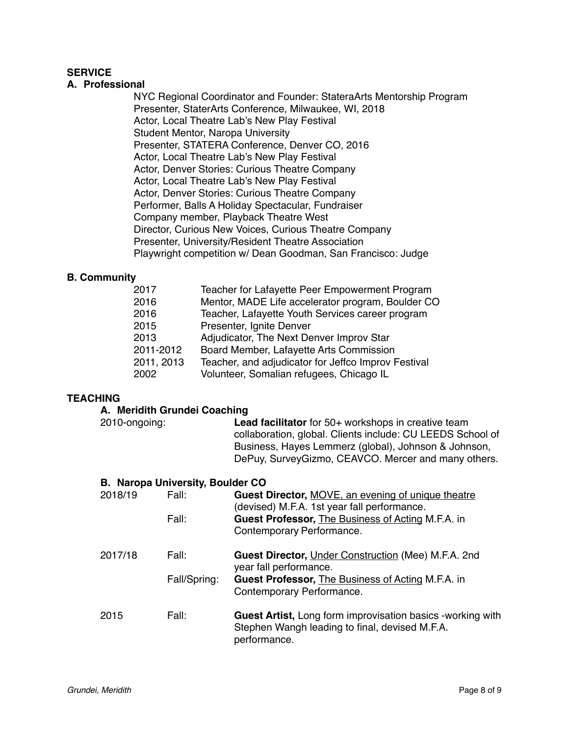## **SERVICE**

## **A. Professional**

NYC Regional Coordinator and Founder: StateraArts Mentorship Program Presenter, StaterArts Conference, Milwaukee, WI, 2018 Actor, Local Theatre Lab's New Play Festival Student Mentor, Naropa University Presenter, STATERA Conference, Denver CO, 2016 Actor, Local Theatre Lab's New Play Festival Actor, Denver Stories: Curious Theatre Company Actor, Local Theatre Lab's New Play Festival Actor, Denver Stories: Curious Theatre Company Performer, Balls A Holiday Spectacular, Fundraiser Company member, Playback Theatre West Director, Curious New Voices, Curious Theatre Company Presenter, University/Resident Theatre Association Playwright competition w/ Dean Goodman, San Francisco: Judge

## **B. Community**

| 2017       | Teacher for Lafayette Peer Empowerment Program      |
|------------|-----------------------------------------------------|
| 2016       | Mentor, MADE Life accelerator program, Boulder CO   |
| 2016       | Teacher, Lafayette Youth Services career program    |
| 2015       | Presenter, Ignite Denver                            |
| 2013       | Adjudicator, The Next Denver Improv Star            |
| 2011-2012  | Board Member, Lafayette Arts Commission             |
| 2011, 2013 | Teacher, and adjudicator for Jeffco Improv Festival |
| 2002       | Volunteer, Somalian refugees, Chicago IL            |

## **TEACHING**

#### **A. Meridith Grundei Coaching**

| 2010-ongoing: |                                         | <b>Lead facilitator</b> for 50+ workshops in creative team<br>collaboration, global. Clients include: CU LEEDS School of<br>Business, Hayes Lemmerz (global), Johnson & Johnson,<br>DePuy, SurveyGizmo, CEAVCO. Mercer and many others. |
|---------------|-----------------------------------------|-----------------------------------------------------------------------------------------------------------------------------------------------------------------------------------------------------------------------------------------|
|               | <b>B. Naropa University, Boulder CO</b> |                                                                                                                                                                                                                                         |
| 2018/19       | Fall:                                   | Guest Director, MOVE, an evening of unique theatre<br>(devised) M.F.A. 1st year fall performance.                                                                                                                                       |
|               | Fall:                                   | <b>Guest Professor, The Business of Acting M.F.A. in</b><br>Contemporary Performance.                                                                                                                                                   |
| 2017/18       | Fall:                                   | <b>Guest Director, Under Construction (Mee) M.F.A. 2nd</b><br>year fall performance.                                                                                                                                                    |
|               | Fall/Spring:                            | <b>Guest Professor, The Business of Acting M.F.A. in</b><br>Contemporary Performance.                                                                                                                                                   |
| 2015          | Fall:                                   | <b>Guest Artist, Long form improvisation basics -working with</b><br>Stephen Wangh leading to final, devised M.F.A.<br>performance.                                                                                                     |